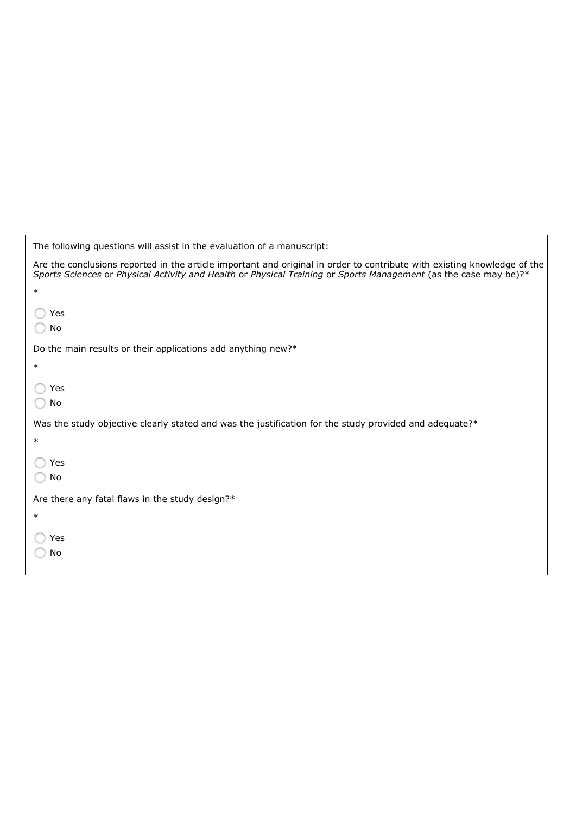| The following questions will assist in the evaluation of a manuscript:                                                                                                                                                                       |
|----------------------------------------------------------------------------------------------------------------------------------------------------------------------------------------------------------------------------------------------|
| Are the conclusions reported in the article important and original in order to contribute with existing knowledge of the<br>Sports Sciences or Physical Activity and Health or Physical Training or Sports Management (as the case may be)?* |
| $\ast$                                                                                                                                                                                                                                       |
| Yes<br>No                                                                                                                                                                                                                                    |
| Do the main results or their applications add anything new?*                                                                                                                                                                                 |
| $\ast$                                                                                                                                                                                                                                       |
| Yes<br>No                                                                                                                                                                                                                                    |
| Was the study objective clearly stated and was the justification for the study provided and adequate?*                                                                                                                                       |
| $\ast$                                                                                                                                                                                                                                       |
| Yes                                                                                                                                                                                                                                          |
| No                                                                                                                                                                                                                                           |
| Are there any fatal flaws in the study design?*                                                                                                                                                                                              |
| $\ast$                                                                                                                                                                                                                                       |
| Yes                                                                                                                                                                                                                                          |
| No                                                                                                                                                                                                                                           |
|                                                                                                                                                                                                                                              |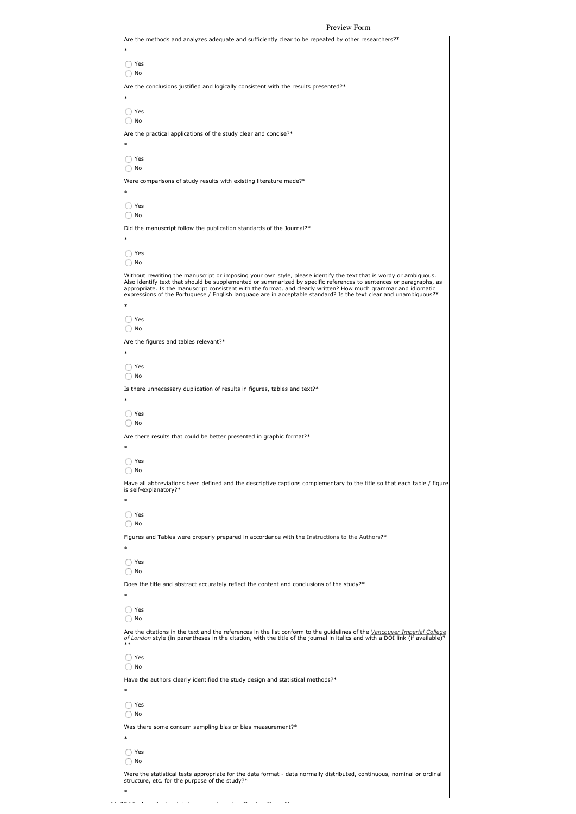|         | Preview Form                                                                                                                                                                                                                                                                                                                                                                                                                                                                  |  |
|---------|-------------------------------------------------------------------------------------------------------------------------------------------------------------------------------------------------------------------------------------------------------------------------------------------------------------------------------------------------------------------------------------------------------------------------------------------------------------------------------|--|
| $\star$ | Are the methods and analyzes adequate and sufficiently clear to be repeated by other researchers?*                                                                                                                                                                                                                                                                                                                                                                            |  |
|         | Yes                                                                                                                                                                                                                                                                                                                                                                                                                                                                           |  |
|         | ) No<br>Are the conclusions justified and logically consistent with the results presented?*                                                                                                                                                                                                                                                                                                                                                                                   |  |
|         |                                                                                                                                                                                                                                                                                                                                                                                                                                                                               |  |
|         | ) Yes<br>) No                                                                                                                                                                                                                                                                                                                                                                                                                                                                 |  |
|         | Are the practical applications of the study clear and concise?*                                                                                                                                                                                                                                                                                                                                                                                                               |  |
| $\star$ | O Yes                                                                                                                                                                                                                                                                                                                                                                                                                                                                         |  |
|         | $\bigcirc$ No                                                                                                                                                                                                                                                                                                                                                                                                                                                                 |  |
| $\star$ | Were comparisons of study results with existing literature made?*                                                                                                                                                                                                                                                                                                                                                                                                             |  |
|         | Yes<br>$\bigcirc$ No                                                                                                                                                                                                                                                                                                                                                                                                                                                          |  |
|         | Did the manuscript follow the publication standards of the Journal?*                                                                                                                                                                                                                                                                                                                                                                                                          |  |
|         |                                                                                                                                                                                                                                                                                                                                                                                                                                                                               |  |
|         | ) Yes<br>) No                                                                                                                                                                                                                                                                                                                                                                                                                                                                 |  |
| $\star$ | Without rewriting the manuscript or imposing your own style, please identify the text that is wordy or ambiguous.<br>Also identify text that should be supplemented or summarized by specific references to sentences or paragraphs, as<br>appropriate. Is the manuscript consistent with the format, and clearly written? How much grammar and idiomatic<br>expressions of the Portuguese / English language are in acceptable standard? Is the text clear and unambiguous?* |  |
|         | ◯ Yes                                                                                                                                                                                                                                                                                                                                                                                                                                                                         |  |
|         | ◯ No<br>Are the figures and tables relevant?*                                                                                                                                                                                                                                                                                                                                                                                                                                 |  |
| ж       |                                                                                                                                                                                                                                                                                                                                                                                                                                                                               |  |
|         | Yes<br>$\bigcirc$ No                                                                                                                                                                                                                                                                                                                                                                                                                                                          |  |
| ж       | Is there unnecessary duplication of results in figures, tables and text?*                                                                                                                                                                                                                                                                                                                                                                                                     |  |
|         | O Yes<br>( ) No                                                                                                                                                                                                                                                                                                                                                                                                                                                               |  |
| $\ast$  | Are there results that could be better presented in graphic format?*                                                                                                                                                                                                                                                                                                                                                                                                          |  |
|         | Yes<br>No                                                                                                                                                                                                                                                                                                                                                                                                                                                                     |  |
|         | Have all abbreviations been defined and the descriptive captions complementary to the title so that each table / figure<br>is self-explanatory?*                                                                                                                                                                                                                                                                                                                              |  |
|         | Yes                                                                                                                                                                                                                                                                                                                                                                                                                                                                           |  |
|         | $\bigcirc$ No<br>Figures and Tables were properly prepared in accordance with the Instructions to the Authors?*                                                                                                                                                                                                                                                                                                                                                               |  |
| $\ast$  |                                                                                                                                                                                                                                                                                                                                                                                                                                                                               |  |
|         | ) Yes<br>No                                                                                                                                                                                                                                                                                                                                                                                                                                                                   |  |
| $\ast$  | Does the title and abstract accurately reflect the content and conclusions of the study?*                                                                                                                                                                                                                                                                                                                                                                                     |  |
|         | $\bigcirc$ Yes                                                                                                                                                                                                                                                                                                                                                                                                                                                                |  |
|         | No<br>Are the citations in the text and the references in the list conform to the guidelines of the Vancouver Imperial College                                                                                                                                                                                                                                                                                                                                                |  |
|         | of London style (in parentheses in the citation, with the title of the journal in italics and with a DOI link (if available)?                                                                                                                                                                                                                                                                                                                                                 |  |
|         | ◯ Yes<br>$\bigcirc$ No                                                                                                                                                                                                                                                                                                                                                                                                                                                        |  |
|         | Have the authors clearly identified the study design and statistical methods?*                                                                                                                                                                                                                                                                                                                                                                                                |  |
|         | ◯ Yes<br>) No                                                                                                                                                                                                                                                                                                                                                                                                                                                                 |  |
|         | Was there some concern sampling bias or bias measurement?*                                                                                                                                                                                                                                                                                                                                                                                                                    |  |
|         | Yes<br>) No                                                                                                                                                                                                                                                                                                                                                                                                                                                                   |  |
|         | Were the statistical tests appropriate for the data format - data normally distributed, continuous, nominal or ordinal<br>structure, etc. for the purpose of the study?*                                                                                                                                                                                                                                                                                                      |  |
|         |                                                                                                                                                                                                                                                                                                                                                                                                                                                                               |  |

http://200.216.216.61.234/index.php/reviewReviewReviewReviewReviewAeronamanager/previewReviewReviewReviewReview